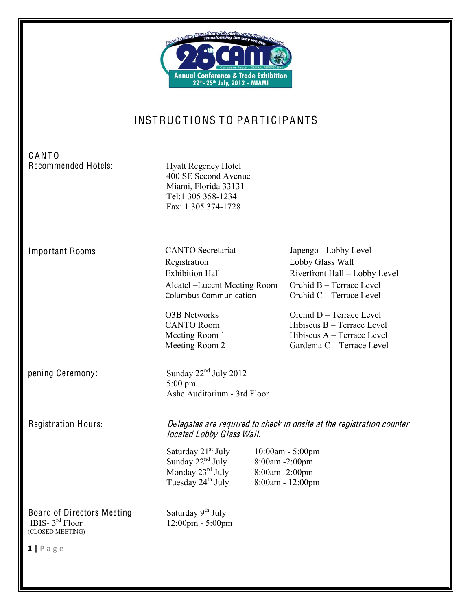

# INSTRUCTIONS TO PARTICIPANTS

## C ANT O Recommended Hotels: Hyatt Regency Hotel

400 SE Second Avenue Miami, Florida 33131 Tel:1 305 358-1234 Fax: 1 305 374-1728

Important Rooms

Registration Lobby Glass Wall Exhibition Hall Riverfront Hall - Lobby Level Alcatel -Lucent Meeting Room Columbus!Communication!

Ashe Auditorium - 3rd Floor

5:00 pm

CANTO Secretariat Japengo - Lobby Level Orchid B - Terrace Level  $O$ rchid  $C -$ Terrace Level

O3B Networks Orchid D – Terrace Level CANTO Room Hibiscus B – Terrace Level Meeting Room 1 Hibiscus A - Terrace Level Meeting Room 2 Gardenia  $C -$  Terrace Level

pening Ceremony: Sunday  $22<sup>nd</sup>$  July 2012

Registration Hours: Delegate<sup>s</sup> ar<sup>e</sup> <sup>r</sup><sup>e</sup>quired <sup>t</sup><sup>o</sup> <sup>c</sup>heck in onsit<sup>e</sup> <sup>a</sup><sup>t</sup> <sup>t</sup>h<sup>e</sup> <sup>r</sup><sup>e</sup>gistration <sup>c</sup>ounte<sup>r</sup> located Lobby Glass Wall.

> Saturday 21<sup>st</sup> July 10:00am - 5:00pm Sunday  $22<sup>nd</sup> July 8:00am -2:00pm$ Monday  $22^{\circ}$   $\frac{3.3}{\text{M}}$   $\frac{3.3}{\text{M}}$   $\frac{3.3}{\text{M}}$   $\frac{3.3}{\text{M}}$   $\frac{3.3}{\text{M}}$   $\frac{3.3}{\text{M}}$   $\frac{3.3}{\text{M}}$   $\frac{3.3}{\text{M}}$   $\frac{3.3}{\text{M}}$   $\frac{3.3}{\text{M}}$   $\frac{3.3}{\text{M}}$   $\frac{3.3}{\text{M}}$   $\frac{3.3}{\text{M}}$   $\frac{3.3}{\text$ Tuesday  $24^{th}$  July 8:00am - 12:00pm

Board of Directors Meeting Saturday  $9<sup>th</sup>$  July IBIS-  $3^{rd}$  Floor 12:00pm - 5:00pm (CLOSED MEETING)

 $1 | P \text{age}$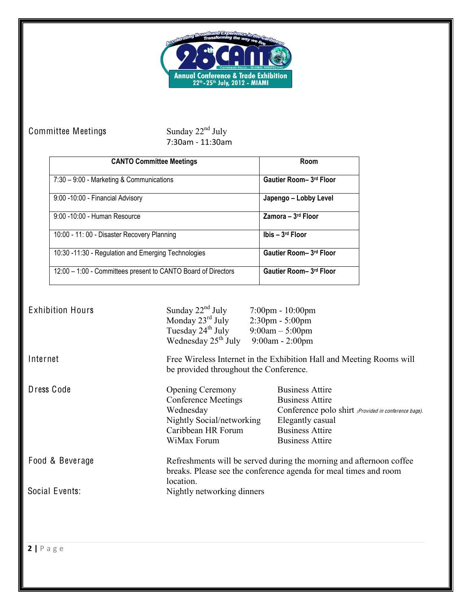

## Committee Meetings

Sunday  $22<sup>nd</sup>$  July<br>7:30am - 11:30am

| <b>CANTO Committee Meetings</b>                               | Room                          |
|---------------------------------------------------------------|-------------------------------|
| 7:30 - 9:00 - Marketing & Communications                      | Gautier Room- 3rd Floor       |
| 9:00 -10:00 - Financial Advisory                              | Japengo – Lobby Level         |
| 9:00 - 10:00 - Human Resource                                 | Zamora – 3rd Floor            |
| 10:00 - 11:00 - Disaster Recovery Planning                    | Ibis $-3$ <sup>rd</sup> Floor |
| 10:30 -11:30 - Regulation and Emerging Technologies           | Gautier Room- 3rd Floor       |
| 12:00 - 1:00 - Committees present to CANTO Board of Directors | Gautier Room- 3rd Floor       |

| <b>Exhibition Hours</b> | Sunday $22nd$ July<br>Monday $23^{\text{rd}}$ July<br>Tuesday 24 <sup>th</sup> July<br>Wednesday $25th$ July                                         | $7:00 \text{pm} - 10:00 \text{pm}$<br>$2:30$ pm - $5:00$ pm<br>$9:00am - 5:00pm$<br>$9:00$ am - 2:00pm                                                                           |
|-------------------------|------------------------------------------------------------------------------------------------------------------------------------------------------|----------------------------------------------------------------------------------------------------------------------------------------------------------------------------------|
| Internet                | be provided throughout the Conference.                                                                                                               | Free Wireless Internet in the Exhibition Hall and Meeting Rooms will                                                                                                             |
| Dress Code              | <b>Opening Ceremony</b><br><b>Conference Meetings</b><br>Wednesday<br>Nightly Social/networking<br>Caribbean HR Forum<br>WiMax Forum                 | <b>Business Attire</b><br><b>Business Attire</b><br>Conference polo shirt (Provided in conference bags).<br>Elegantly casual<br><b>Business Attire</b><br><b>Business Attire</b> |
| Food & Beverage         | Refreshments will be served during the morning and afternoon coffee<br>breaks. Please see the conference agenda for meal times and room<br>location. |                                                                                                                                                                                  |
| Social Events:          | Nightly networking dinners                                                                                                                           |                                                                                                                                                                                  |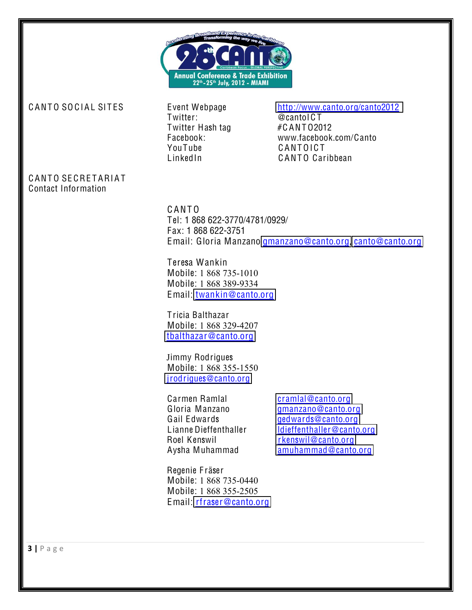

Twitter: @cantoIC T Twitter Hash tag #CANT02012 YouTube CANTOICT

### CANTO SOCIAL SITES Event Webpage http://www.canto.org/c[anto2012](http://www.canto.org/canto2012)

Facebook: www.facebook.com/Canto LinkedIn CANTO Caribbean

## CANTO SECRETARIAT Contact Information

C ANT O Tel: 1 868 622-3770/4781/0929/ Fax: 1 868 622-3751 Email: Gloria Manzano [gmanzano@](mailto:gmanzano@canto.orgt)canto.org, c[anto@](mailto:canto@canto.org)canto.org

Teresa Wankin Mobile: 1 868 735-1010 Mobile: 1 868 389-9334 Email: [twankin@](mailto:twankin@canto.org)canto.org

T ricia Balthazar Mobile: 1 868 329-4207 [tbalthazar@](mailto:tbalthazar@canto.org)canto.org

Jimmy Rodrigues Mobile: 1 868 355-1550 [jrodrigu](mailto:jrodrigues@canto.org)es@canto.org

Carmen Ramlal c[ramlal@](mailto:cramlal@canto.org)canto.org Roel Kenswil rkens[wil@](mailto:rkenswil@canto.org)canto.org

Gloria Manzano [gmanzano@](mailto:gmanzano@canto.org)canto.org Gail E[dward](mailto:gedwards@canto.org)s Gail Edwards gedwards@canto.org Lianne Dieffe[nthall](mailto:ldieffenthaller@canto.org)er ldieffenthaller@canto.org Aysha Muhammad [amuhammad@](mailto:amuhammad@canto.org)canto.org

Regenie F räser Mobile: 1 868 735-0440 Mobile: 1 868 355-2505 Email: rfraser@c[anto](mailto:rfraser@canto.org).org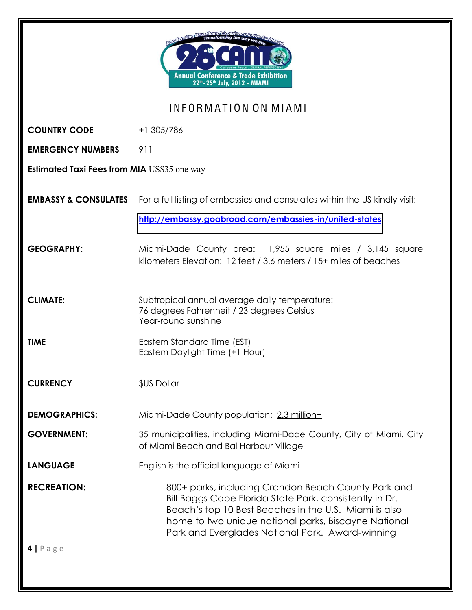| Transforming the <sub>Wa</sub><br>Annual Conference & Trade Exhibition<br>22 <sup>th</sup> - 25 <sup>th</sup> July, 2012 - MIAMI |                                                                                                                                                                                                                                                                                     |  |
|----------------------------------------------------------------------------------------------------------------------------------|-------------------------------------------------------------------------------------------------------------------------------------------------------------------------------------------------------------------------------------------------------------------------------------|--|
| INFORMATION ON MIAMI                                                                                                             |                                                                                                                                                                                                                                                                                     |  |
| <b>COUNTRY CODE</b>                                                                                                              | +1 305/786                                                                                                                                                                                                                                                                          |  |
| <b>EMERGENCY NUMBERS</b>                                                                                                         | 911                                                                                                                                                                                                                                                                                 |  |
| <b>Estimated Taxi Fees from MIA US\$35 one way</b>                                                                               |                                                                                                                                                                                                                                                                                     |  |
| <b>EMBASSY &amp; CONSULATES</b>                                                                                                  | For a full listing of embassies and consulates within the US kindly visit:                                                                                                                                                                                                          |  |
|                                                                                                                                  | http://embassy.goabroad.com/embassies-in/united-states                                                                                                                                                                                                                              |  |
| <b>GEOGRAPHY:</b>                                                                                                                | Miami-Dade County area: 1,955 square miles / 3,145 square<br>kilometers Elevation: 12 feet / 3.6 meters / 15+ miles of beaches                                                                                                                                                      |  |
| <b>CLIMATE:</b>                                                                                                                  | Subtropical annual average daily temperature:<br>76 degrees Fahrenheit / 23 degrees Celsius<br>Year-round sunshine                                                                                                                                                                  |  |
| <b>TIME</b>                                                                                                                      | Eastern Standard Time (EST)<br>Eastern Daylight Time (+1 Hour)                                                                                                                                                                                                                      |  |
| <b>CURRENCY</b>                                                                                                                  | \$US Dollar                                                                                                                                                                                                                                                                         |  |
| <b>DEMOGRAPHICS:</b>                                                                                                             | Miami-Dade County population: 2.3 million+                                                                                                                                                                                                                                          |  |
| <b>GOVERNMENT:</b>                                                                                                               | 35 municipalities, including Miami-Dade County, City of Miami, City<br>of Miami Beach and Bal Harbour Village                                                                                                                                                                       |  |
| <b>LANGUAGE</b>                                                                                                                  | English is the official language of Miami                                                                                                                                                                                                                                           |  |
| <b>RECREATION:</b>                                                                                                               | 800+ parks, including Crandon Beach County Park and<br>Bill Baggs Cape Florida State Park, consistently in Dr.<br>Beach's top 10 Best Beaches in the U.S. Miami is also<br>home to two unique national parks, Biscayne National<br>Park and Everglades National Park. Award-winning |  |
| $4   P \text{age}$                                                                                                               |                                                                                                                                                                                                                                                                                     |  |